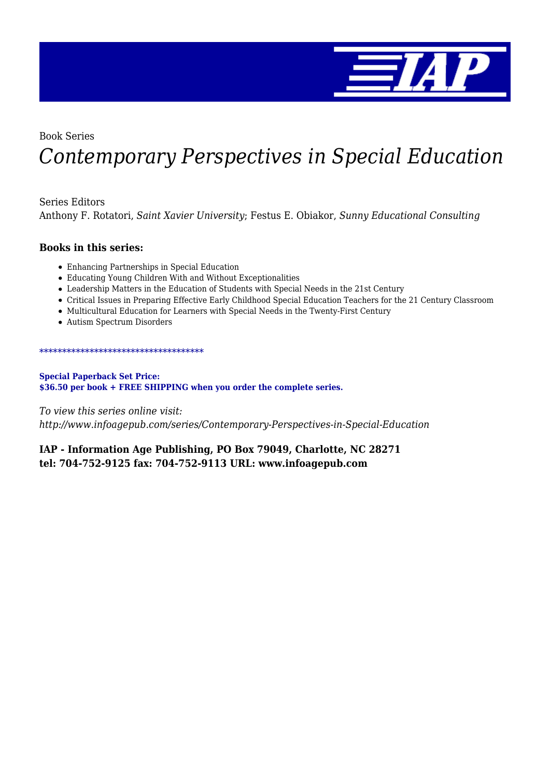

Book Series

# *Contemporary Perspectives in Special Education*

Series Editors

Anthony F. Rotatori, *Saint Xavier University*; Festus E. Obiakor, *Sunny Educational Consulting*

#### **Books in this series:**

- Enhancing Partnerships in Special Education
- Educating Young Children With and Without Exceptionalities
- Leadership Matters in the Education of Students with Special Needs in the 21st Century
- Critical Issues in Preparing Effective Early Childhood Special Education Teachers for the 21 Century Classroom
- Multicultural Education for Learners with Special Needs in the Twenty-First Century
- Autism Spectrum Disorders

#### \*\*\*\*\*\*\*\*\*\*\*\*\*\*\*\*\*\*\*\*\*\*\*\*\*\*\*\*\*\*\*\*\*\*\*\*

#### **Special Paperback Set Price: \$36.50 per book + FREE SHIPPING when you order the complete series.**

*To view this series online visit:*

*http://www.infoagepub.com/series/Contemporary-Perspectives-in-Special-Education*

#### **IAP - Information Age Publishing, PO Box 79049, Charlotte, NC 28271 tel: 704-752-9125 fax: 704-752-9113 URL: www.infoagepub.com**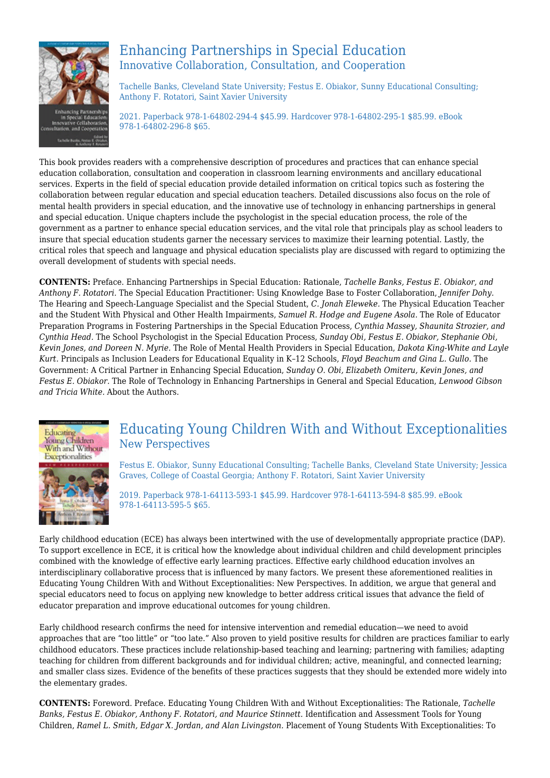

## Enhancing Partnerships in Special Education Innovative Collaboration, Consultation, and Cooperation

Tachelle Banks, Cleveland State University; Festus E. Obiakor, Sunny Educational Consulting; Anthony F. Rotatori, Saint Xavier University

2021. Paperback 978-1-64802-294-4 \$45.99. Hardcover 978-1-64802-295-1 \$85.99. eBook 978-1-64802-296-8 \$65.

This book provides readers with a comprehensive description of procedures and practices that can enhance special education collaboration, consultation and cooperation in classroom learning environments and ancillary educational services. Experts in the field of special education provide detailed information on critical topics such as fostering the collaboration between regular education and special education teachers. Detailed discussions also focus on the role of mental health providers in special education, and the innovative use of technology in enhancing partnerships in general and special education. Unique chapters include the psychologist in the special education process, the role of the government as a partner to enhance special education services, and the vital role that principals play as school leaders to insure that special education students garner the necessary services to maximize their learning potential. Lastly, the critical roles that speech and language and physical education specialists play are discussed with regard to optimizing the overall development of students with special needs.

**CONTENTS:** Preface. Enhancing Partnerships in Special Education: Rationale, *Tachelle Banks, Festus E. Obiakor, and Anthony F. Rotatori.* The Special Education Practitioner: Using Knowledge Base to Foster Collaboration, *Jennifer Dohy.* The Hearing and Speech-Language Specialist and the Special Student, *C. Jonah Eleweke.* The Physical Education Teacher and the Student With Physical and Other Health Impairments, *Samuel R. Hodge and Eugene Asola.* The Role of Educator Preparation Programs in Fostering Partnerships in the Special Education Process, *Cynthia Massey, Shaunita Strozier, and Cynthia Head.* The School Psychologist in the Special Education Process, *Sunday Obi, Festus E. Obiakor, Stephanie Obi, Kevin Jones, and Doreen N. Myrie.* The Role of Mental Health Providers in Special Education, *Dakota King-White and Layle Kurt.* Principals as Inclusion Leaders for Educational Equality in K–12 Schools, *Floyd Beachum and Gina L. Gullo.* The Government: A Critical Partner in Enhancing Special Education, *Sunday O. Obi, Elizabeth Omiteru, Kevin Jones, and Festus E. Obiakor.* The Role of Technology in Enhancing Partnerships in General and Special Education, *Lenwood Gibson and Tricia White.* About the Authors.



### Educating Young Children With and Without Exceptionalities New Perspectives

Festus E. Obiakor, Sunny Educational Consulting; Tachelle Banks, Cleveland State University; Jessica Graves, College of Coastal Georgia; Anthony F. Rotatori, Saint Xavier University

2019. Paperback 978-1-64113-593-1 \$45.99. Hardcover 978-1-64113-594-8 \$85.99. eBook 978-1-64113-595-5 \$65.

Early childhood education (ECE) has always been intertwined with the use of developmentally appropriate practice (DAP). To support excellence in ECE, it is critical how the knowledge about individual children and child development principles combined with the knowledge of effective early learning practices. Effective early childhood education involves an interdisciplinary collaborative process that is influenced by many factors. We present these aforementioned realities in Educating Young Children With and Without Exceptionalities: New Perspectives. In addition, we argue that general and special educators need to focus on applying new knowledge to better address critical issues that advance the field of educator preparation and improve educational outcomes for young children.

Early childhood research confirms the need for intensive intervention and remedial education—we need to avoid approaches that are "too little" or "too late." Also proven to yield positive results for children are practices familiar to early childhood educators. These practices include relationship-based teaching and learning; partnering with families; adapting teaching for children from different backgrounds and for individual children; active, meaningful, and connected learning; and smaller class sizes. Evidence of the benefits of these practices suggests that they should be extended more widely into the elementary grades.

**CONTENTS:** Foreword. Preface. Educating Young Children With and Without Exceptionalities: The Rationale, *Tachelle Banks, Festus E. Obiakor, Anthony F. Rotatori, and Maurice Stinnett.* Identification and Assessment Tools for Young Children, *Ramel L. Smith, Edgar X. Jordan, and Alan Livingston.* Placement of Young Students With Exceptionalities: To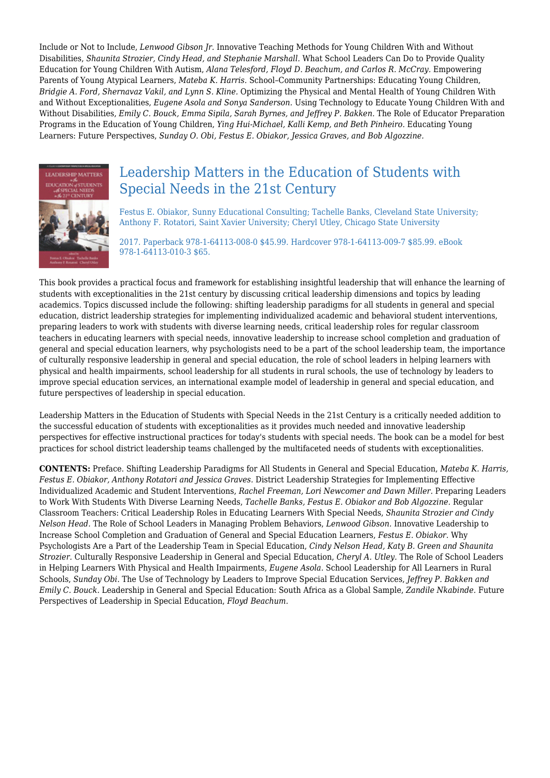Include or Not to Include, *Lenwood Gibson Jr.* Innovative Teaching Methods for Young Children With and Without Disabilities, *Shaunita Strozier, Cindy Head, and Stephanie Marshall.* What School Leaders Can Do to Provide Quality Education for Young Children With Autism, *Alana Telesford, Floyd D. Beachum, and Carlos R. McCray.* Empowering Parents of Young Atypical Learners, *Mateba K. Harris.* School–Community Partnerships: Educating Young Children, *Bridgie A. Ford, Shernavaz Vakil, and Lynn S. Kline.* Optimizing the Physical and Mental Health of Young Children With and Without Exceptionalities, *Eugene Asola and Sonya Sanderson.* Using Technology to Educate Young Children With and Without Disabilities, *Emily C. Bouck, Emma Sipila, Sarah Byrnes, and Jeffrey P. Bakken.* The Role of Educator Preparation Programs in the Education of Young Children, *Ying Hui-Michael, Kalli Kemp, and Beth Pinheiro.* Educating Young Learners: Future Perspectives, *Sunday O. Obi, Festus E. Obiakor, Jessica Graves, and Bob Algozzine.*



## Leadership Matters in the Education of Students with Special Needs in the 21st Century

Festus E. Obiakor, Sunny Educational Consulting; Tachelle Banks, Cleveland State University; Anthony F. Rotatori, Saint Xavier University; Cheryl Utley, Chicago State University

2017. Paperback 978-1-64113-008-0 \$45.99. Hardcover 978-1-64113-009-7 \$85.99. eBook 978-1-64113-010-3 \$65.

This book provides a practical focus and framework for establishing insightful leadership that will enhance the learning of students with exceptionalities in the 21st century by discussing critical leadership dimensions and topics by leading academics. Topics discussed include the following: shifting leadership paradigms for all students in general and special education, district leadership strategies for implementing individualized academic and behavioral student interventions, preparing leaders to work with students with diverse learning needs, critical leadership roles for regular classroom teachers in educating learners with special needs, innovative leadership to increase school completion and graduation of general and special education learners, why psychologists need to be a part of the school leadership team, the importance of culturally responsive leadership in general and special education, the role of school leaders in helping learners with physical and health impairments, school leadership for all students in rural schools, the use of technology by leaders to improve special education services, an international example model of leadership in general and special education, and future perspectives of leadership in special education.

Leadership Matters in the Education of Students with Special Needs in the 21st Century is a critically needed addition to the successful education of students with exceptionalities as it provides much needed and innovative leadership perspectives for effective instructional practices for today's students with special needs. The book can be a model for best practices for school district leadership teams challenged by the multifaceted needs of students with exceptionalities.

**CONTENTS:** Preface. Shifting Leadership Paradigms for All Students in General and Special Education, *Mateba K. Harris, Festus E. Obiakor, Anthony Rotatori and Jessica Graves.* District Leadership Strategies for Implementing Effective Individualized Academic and Student Interventions, *Rachel Freeman, Lori Newcomer and Dawn Miller.* Preparing Leaders to Work With Students With Diverse Learning Needs, *Tachelle Banks, Festus E. Obiakor and Bob Algozzine.* Regular Classroom Teachers: Critical Leadership Roles in Educating Learners With Special Needs, *Shaunita Strozier and Cindy Nelson Head.* The Role of School Leaders in Managing Problem Behaviors, *Lenwood Gibson.* Innovative Leadership to Increase School Completion and Graduation of General and Special Education Learners, *Festus E. Obiakor.* Why Psychologists Are a Part of the Leadership Team in Special Education, *Cindy Nelson Head, Katy B. Green and Shaunita Strozier.* Culturally Responsive Leadership in General and Special Education, *Cheryl A. Utley.* The Role of School Leaders in Helping Learners With Physical and Health Impairments, *Eugene Asola.* School Leadership for All Learners in Rural Schools, *Sunday Obi.* The Use of Technology by Leaders to Improve Special Education Services, *Jeffrey P. Bakken and Emily C. Bouck.* Leadership in General and Special Education: South Africa as a Global Sample, *Zandile Nkabinde.* Future Perspectives of Leadership in Special Education, *Floyd Beachum.*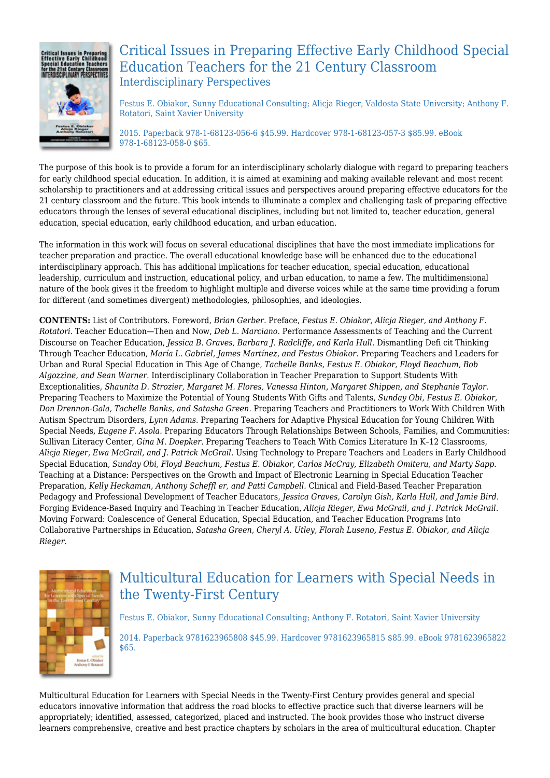

## Critical Issues in Preparing Effective Early Childhood Special Education Teachers for the 21 Century Classroom Interdisciplinary Perspectives

Festus E. Obiakor, Sunny Educational Consulting; Alicja Rieger, Valdosta State University; Anthony F. Rotatori, Saint Xavier University

2015. Paperback 978-1-68123-056-6 \$45.99. Hardcover 978-1-68123-057-3 \$85.99. eBook 978-1-68123-058-0 \$65.

The purpose of this book is to provide a forum for an interdisciplinary scholarly dialogue with regard to preparing teachers for early childhood special education. In addition, it is aimed at examining and making available relevant and most recent scholarship to practitioners and at addressing critical issues and perspectives around preparing effective educators for the 21 century classroom and the future. This book intends to illuminate a complex and challenging task of preparing effective educators through the lenses of several educational disciplines, including but not limited to, teacher education, general education, special education, early childhood education, and urban education.

The information in this work will focus on several educational disciplines that have the most immediate implications for teacher preparation and practice. The overall educational knowledge base will be enhanced due to the educational interdisciplinary approach. This has additional implications for teacher education, special education, educational leadership, curriculum and instruction, educational policy, and urban education, to name a few. The multidimensional nature of the book gives it the freedom to highlight multiple and diverse voices while at the same time providing a forum for different (and sometimes divergent) methodologies, philosophies, and ideologies.

**CONTENTS:** List of Contributors. Foreword, *Brian Gerber.* Preface, *Festus E. Obiakor, Alicja Rieger, and Anthony F. Rotatori.* Teacher Education—Then and Now, *Deb L. Marciano.* Performance Assessments of Teaching and the Current Discourse on Teacher Education, *Jessica B. Graves, Barbara J. Radcliffe, and Karla Hull.* Dismantling Defi cit Thinking Through Teacher Education, *María L. Gabriel, James Martínez, and Festus Obiakor.* Preparing Teachers and Leaders for Urban and Rural Special Education in This Age of Change, *Tachelle Banks, Festus E. Obiakor, Floyd Beachum, Bob Algozzine, and Sean Warner.* Interdisciplinary Collaboration in Teacher Preparation to Support Students With Exceptionalities, *Shaunita D. Strozier, Margaret M. Flores, Vanessa Hinton, Margaret Shippen, and Stephanie Taylor.* Preparing Teachers to Maximize the Potential of Young Students With Gifts and Talents, *Sunday Obi, Festus E. Obiakor, Don Drennon-Gala, Tachelle Banks, and Satasha Green.* Preparing Teachers and Practitioners to Work With Children With Autism Spectrum Disorders, *Lynn Adams.* Preparing Teachers for Adaptive Physical Education for Young Children With Special Needs, *Eugene F. Asola.* Preparing Educators Through Relationships Between Schools, Families, and Communities: Sullivan Literacy Center, *Gina M. Doepker.* Preparing Teachers to Teach With Comics Literature In K–12 Classrooms, *Alicja Rieger, Ewa McGrail, and J. Patrick McGrail.* Using Technology to Prepare Teachers and Leaders in Early Childhood Special Education, *Sunday Obi, Floyd Beachum, Festus E. Obiakor, Carlos McCray, Elizabeth Omiteru, and Marty Sapp.* Teaching at a Distance: Perspectives on the Growth and Impact of Electronic Learning in Special Education Teacher Preparation, *Kelly Heckaman, Anthony Scheffl er, and Patti Campbell.* Clinical and Field-Based Teacher Preparation Pedagogy and Professional Development of Teacher Educators, *Jessica Graves, Carolyn Gish, Karla Hull, and Jamie Bird.* Forging Evidence-Based Inquiry and Teaching in Teacher Education, *Alicja Rieger, Ewa McGrail, and J. Patrick McGrail.* Moving Forward: Coalescence of General Education, Special Education, and Teacher Education Programs Into Collaborative Partnerships in Education, *Satasha Green, Cheryl A. Utley, Florah Luseno, Festus E. Obiakor, and Alicja Rieger.*



# Multicultural Education for Learners with Special Needs in the Twenty-First Century

Festus E. Obiakor, Sunny Educational Consulting; Anthony F. Rotatori, Saint Xavier University 2014. Paperback 9781623965808 \$45.99. Hardcover 9781623965815 \$85.99. eBook 9781623965822 \$65.

Multicultural Education for Learners with Special Needs in the Twenty-First Century provides general and special educators innovative information that address the road blocks to effective practice such that diverse learners will be appropriately; identified, assessed, categorized, placed and instructed. The book provides those who instruct diverse learners comprehensive, creative and best practice chapters by scholars in the area of multicultural education. Chapter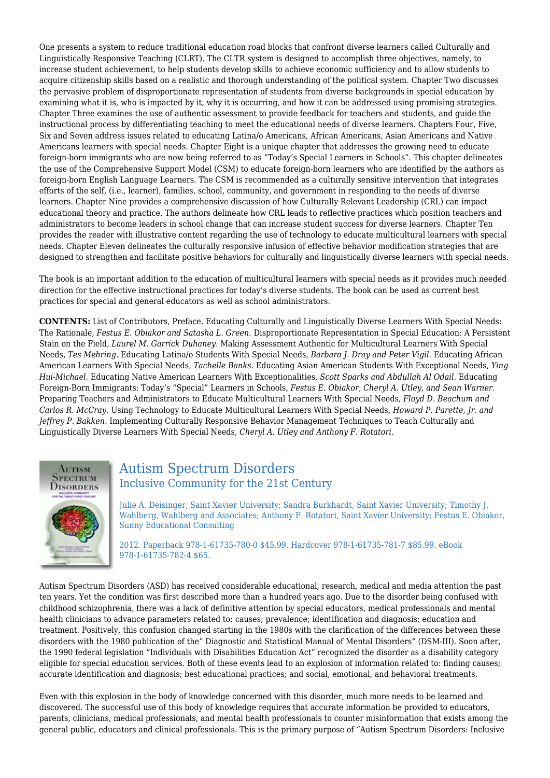One presents a system to reduce traditional education road blocks that confront diverse learners called Culturally and Linguistically Responsive Teaching (CLRT). The CLTR system is designed to accomplish three objectives, namely, to increase student achievement, to help students develop skills to achieve economic sufficiency and to allow students to acquire citizenship skills based on a realistic and thorough understanding of the political system. Chapter Two discusses the pervasive problem of disproportionate representation of students from diverse backgrounds in special education by examining what it is, who is impacted by it, why it is occurring, and how it can be addressed using promising strategies. Chapter Three examines the use of authentic assessment to provide feedback for teachers and students, and guide the instructional process by differentiating teaching to meet the educational needs of diverse learners. Chapters Four, Five, Six and Seven address issues related to educating Latina/o Americans, African Americans, Asian Americans and Native Americans learners with special needs. Chapter Eight is a unique chapter that addresses the growing need to educate foreign-born immigrants who are now being referred to as "Today's Special Learners in Schools". This chapter delineates the use of the Comprehensive Support Model (CSM) to educate foreign-born learners who are identified by the authors as foreign-born English Language Learners. The CSM is recommended as a culturally sensitive intervention that integrates efforts of the self, (i.e., learner), families, school, community, and government in responding to the needs of diverse learners. Chapter Nine provides a comprehensive discussion of how Culturally Relevant Leadership (CRL) can impact educational theory and practice. The authors delineate how CRL leads to reflective practices which position teachers and administrators to become leaders in school change that can increase student success for diverse learners. Chapter Ten provides the reader with illustrative content regarding the use of technology to educate multicultural learners with special needs. Chapter Eleven delineates the culturally responsive infusion of effective behavior modification strategies that are designed to strengthen and facilitate positive behaviors for culturally and linguistically diverse learners with special needs.

The book is an important addition to the education of multicultural learners with special needs as it provides much needed direction for the effective instructional practices for today's diverse students. The book can be used as current best practices for special and general educators as well as school administrators.

**CONTENTS:** List of Contributors, Preface. Educating Culturally and Linguistically Diverse Learners With Special Needs: The Rationale, *Festus E. Obiakor and Satasha L. Green.* Disproportionate Representation in Special Education: A Persistent Stain on the Field, *Laurel M. Garrick Duhaney.* Making Assessment Authentic for Multicultural Learners With Special Needs, *Tes Mehring.* Educating Latina/o Students With Special Needs, *Barbara J. Dray and Peter Vigil.* Educating African American Learners With Special Needs, *Tachelle Banks.* Educating Asian American Students With Exceptional Needs, *Ying Hui-Michael.* Educating Native American Learners With Exceptionalities, *Scott Sparks and Abdullah Al Odail.* Educating Foreign-Born Immigrants: Today's "Special" Learners in Schools, *Festus E. Obiakor, Cheryl A. Utley, and Sean Warner.* Preparing Teachers and Administrators to Educate Multicultural Learners With Special Needs, *Floyd D. Beachum and Carlos R. McCray.* Using Technology to Educate Multicultural Learners With Special Needs, *Howard P. Parette, Jr. and Jeffrey P. Bakken.* Implementing Culturally Responsive Behavior Management Techniques to Teach Culturally and Linguistically Diverse Learners With Special Needs, *Cheryl A. Utley and Anthony F. Rotatori.*



#### Autism Spectrum Disorders Inclusive Community for the 21st Century

Julie A. Deisinger, Saint Xavier University; Sandra Burkhardt, Saint Xavier University; Timothy J. Wahlberg, Wahlberg and Associates; Anthony F. Rotatori, Saint Xavier University; Festus E. Obiakor, Sunny Educational Consulting

2012. Paperback 978-1-61735-780-0 \$45.99. Hardcover 978-1-61735-781-7 \$85.99. eBook 978-1-61735-782-4 \$65.

Autism Spectrum Disorders (ASD) has received considerable educational, research, medical and media attention the past ten years. Yet the condition was first described more than a hundred years ago. Due to the disorder being confused with childhood schizophrenia, there was a lack of definitive attention by special educators, medical professionals and mental health clinicians to advance parameters related to: causes; prevalence; identification and diagnosis; education and treatment. Positively, this confusion changed starting in the 1980s with the clarification of the differences between these disorders with the 1980 publication of the" Diagnostic and Statistical Manual of Mental Disorders" (DSM-III). Soon after, the 1990 federal legislation "Individuals with Disabilities Education Act" recognized the disorder as a disability category eligible for special education services. Both of these events lead to an explosion of information related to: finding causes; accurate identification and diagnosis; best educational practices; and social, emotional, and behavioral treatments.

Even with this explosion in the body of knowledge concerned with this disorder, much more needs to be learned and discovered. The successful use of this body of knowledge requires that accurate information be provided to educators, parents, clinicians, medical professionals, and mental health professionals to counter misinformation that exists among the general public, educators and clinical professionals. This is the primary purpose of "Autism Spectrum Disorders: Inclusive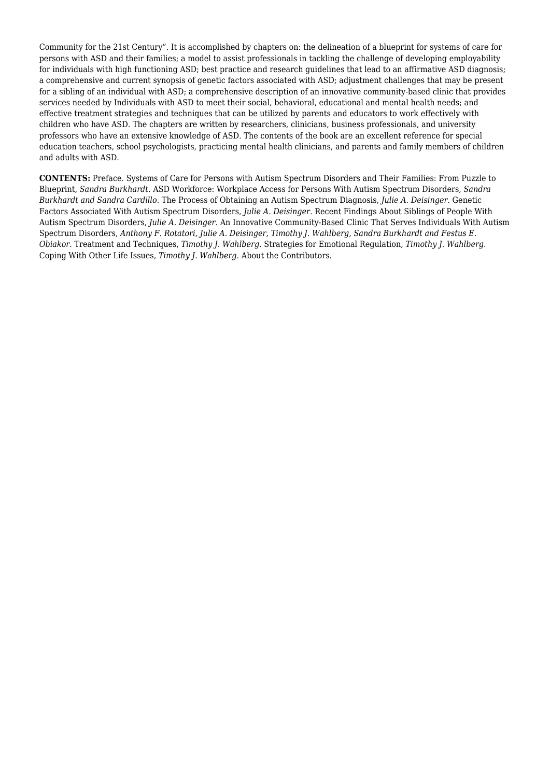Community for the 21st Century". It is accomplished by chapters on: the delineation of a blueprint for systems of care for persons with ASD and their families; a model to assist professionals in tackling the challenge of developing employability for individuals with high functioning ASD; best practice and research guidelines that lead to an affirmative ASD diagnosis; a comprehensive and current synopsis of genetic factors associated with ASD; adjustment challenges that may be present for a sibling of an individual with ASD; a comprehensive description of an innovative community-based clinic that provides services needed by Individuals with ASD to meet their social, behavioral, educational and mental health needs; and effective treatment strategies and techniques that can be utilized by parents and educators to work effectively with children who have ASD. The chapters are written by researchers, clinicians, business professionals, and university professors who have an extensive knowledge of ASD. The contents of the book are an excellent reference for special education teachers, school psychologists, practicing mental health clinicians, and parents and family members of children and adults with ASD.

**CONTENTS:** Preface. Systems of Care for Persons with Autism Spectrum Disorders and Their Families: From Puzzle to Blueprint, *Sandra Burkhardt.* ASD Workforce: Workplace Access for Persons With Autism Spectrum Disorders, *Sandra Burkhardt and Sandra Cardillo.* The Process of Obtaining an Autism Spectrum Diagnosis, *Julie A. Deisinger.* Genetic Factors Associated With Autism Spectrum Disorders, *Julie A. Deisinger.* Recent Findings About Siblings of People With Autism Spectrum Disorders, *Julie A. Deisinger.* An Innovative Community-Based Clinic That Serves Individuals With Autism Spectrum Disorders, *Anthony F. Rotatori, Julie A. Deisinger, Timothy J. Wahlberg, Sandra Burkhardt and Festus E. Obiakor.* Treatment and Techniques, *Timothy J. Wahlberg.* Strategies for Emotional Regulation, *Timothy J. Wahlberg.* Coping With Other Life Issues, *Timothy J. Wahlberg.* About the Contributors.